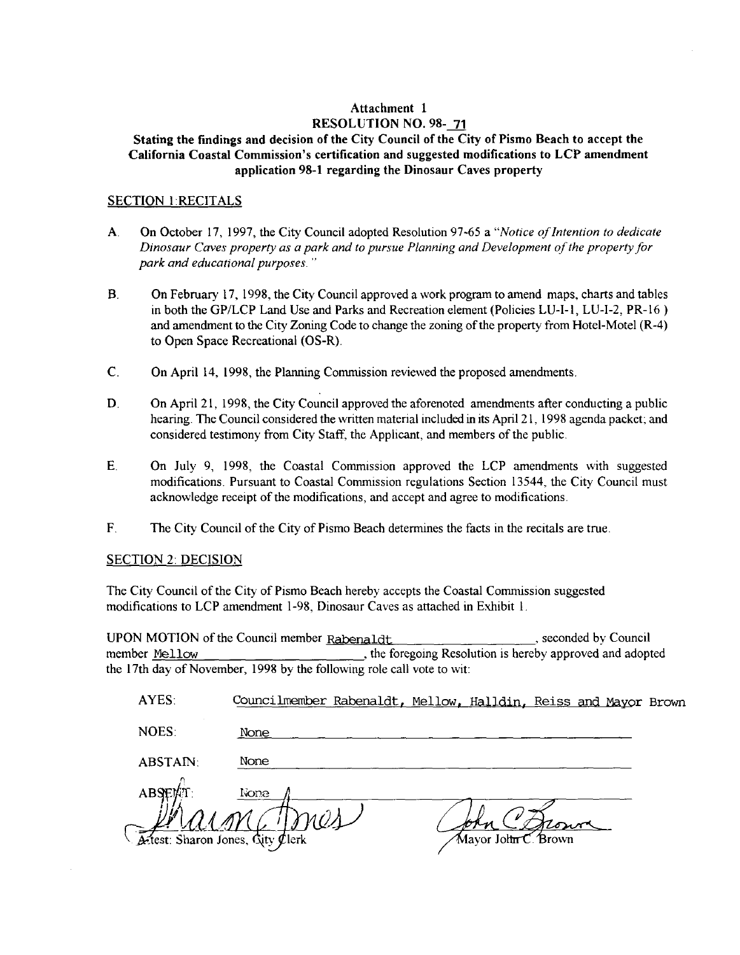## Attachment 1 RESOLUTION NO. 98-71

## Stating the findings and decision of the City Council of the City of Pismo Beach to accept the California Coastal Commission's certification and suggested modifications to LCP amendment application 98-1 regarding the Dinosaur Caves property

#### **SECTION 1:RECITALS**

- $\mathbf{A}$ . On October 17, 1997, the City Council adopted Resolution 97-65 a "Notice of Intention to dedicate Dinosaur Caves property as a park and to pursue Planning and Development of the property for park and educational purposes."
- $B<sub>1</sub>$ On February 17, 1998, the City Council approved a work program to amend maps, charts and tables in both the GP/LCP Land Use and Parks and Recreation element (Policies LU-I-1, LU-I-2, PR-16) and amendment to the City Zoning Code to change the zoning of the property from Hotel-Motel (R-4) to Open Space Recreational (OS-R).
- $\mathbf{C}$ . On April 14, 1998, the Planning Commission reviewed the proposed amendments.
- D. On April 21, 1998, the City Council approved the aforenoted amendments after conducting a public hearing. The Council considered the written material included in its April 21, 1998 agenda packet; and considered testimony from City Staff, the Applicant, and members of the public.
- $E_{.}$ On July 9, 1998, the Coastal Commission approved the LCP amendments with suggested modifications. Pursuant to Coastal Commission regulations Section 13544, the City Council must acknowledge receipt of the modifications, and accept and agree to modifications.
- $F_{\cdot}$ The City Council of the City of Pismo Beach determines the facts in the recitals are true.

#### **SECTION 2: DECISION**

The City Council of the City of Pismo Beach hereby accepts the Coastal Commission suggested modifications to LCP amendment 1-98, Dinosaur Caves as attached in Exhibit 1.

UPON MOTION of the Council member Rabenaldt , seconded by Council , the foregoing Resolution is hereby approved and adopted member Mellow the 17th day of November, 1998 by the following role call vote to wit:

| AYES:                           | Councilmember Rabenaldt, Mellow, Halldin, Reiss and Mayor Brown |                     |      |  |
|---------------------------------|-----------------------------------------------------------------|---------------------|------|--|
| NOES:                           | None                                                            |                     |      |  |
| <b>ABSTAIN:</b>                 | None                                                            |                     |      |  |
| ABSEMT                          | None                                                            |                     |      |  |
| Atest: Sharon Jones, City Clerk |                                                                 | Mayor John C. Brown | Rowe |  |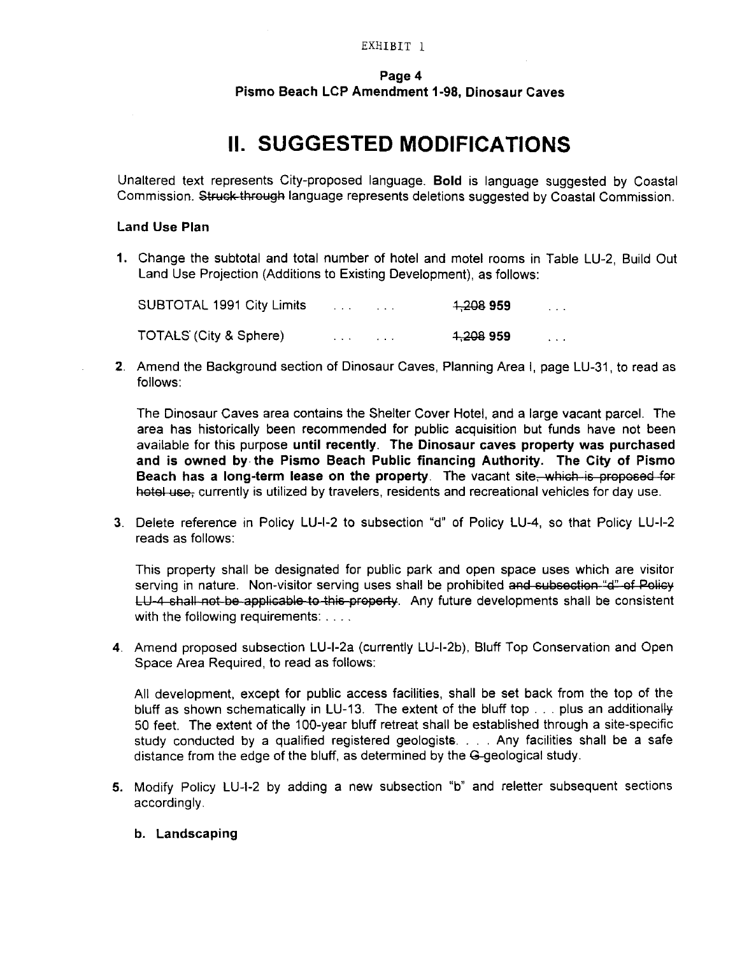#### Page 4

Pismo Beach LCP Amendment 1-98, Dinosaur Caves

# **II. SUGGESTED MODIFICATIONS**

Unaltered text represents City-proposed language. Bold is language suggested by Coastal Commission. Struck through language represents deletions suggested by Coastal Commission.

#### Land Use Plan

1. Change the subtotal and total number of hotel and motel rooms in Table LU-2, Build Out Land Use Projection (Additions to Existing Development), as follows:

| SUBTOTAL 1991 City Limits |  | 1,208 959            | $\mathbf{r}$ and $\mathbf{r}$ |
|---------------------------|--|----------------------|-------------------------------|
| TOTALS (City & Sphere)    |  | <del>1,208</del> 959 | $\sim$ $\sim$ $\sim$          |

2. Amend the Background section of Dinosaur Caves, Planning Area I, page LU-31, to read as follows

The Dinosaur Caves area contains the Shelter Cover Hotel, and a large vacant parcel. The area has historically been recommended for public acquisition but funds have not been available for this purpose until recently. The Dinosaur caves property was purchased and is owned by the Pismo Beach Public financing Authority The City of Pismo Beach has a long-term lease on the property. The vacant site which is proposed for hotel use, currently is utilized by travelers, residents and recreational vehicles for day use. area has historically been recommended for public acquisition but funds have not been<br>available for this purpose **until recently**. The Dinosaur caves property was purchased<br>and is owned by the Pismo Beach Public financing

reads as follows

This property shall be designated for public park and open space uses which are visitor serving in nature. Non-visitor serving uses shall be prohibited and subsection "d" of Policy LU-4 shall not be applicable to this property. Any future developments shall be consistent with the following requirements: . . . . Beach has a long-term lease on the property. The vacant site,—which is proposed foil<br>hotel use, currently is utilized by travelers, residents and recreational vehicles for day use.<br>3. Delete reference in Policy LU-I-2 to s

Space Area Required, to read as follows:

All development, except for public access facilities, shall be set back from the top of the All development, except for public access facilities, shall be set back from the top of the bluff as shown schematically in LU-13. The extent of the bluff top  $\ldots$  plus an additionally bluff as shown schematically in LU-13. The extent of the bluff top . . . plus an additionally<br>50 feet. The extent of the 100-year bluff retreat shall be established through a site-specific<br>study conducted by a qualified re study conducted by a qualified registered geologists.  $\ldots$  Any facilities shall be a safe distance from the edge of the bluff, as determined by the G-geological study. All development, except for public access facilities, shall be set back from<br>bluff as shown schematically in LU-13. The extent of the bluff top . . . plus<br>50 feet. The extent of the 100-year bluff retreat shall be establis 50 feet. The extent of the 100-year bluff retreat shall be established through a site-specific<br>study conducted by a qualified registered geologists.... Any facilities shall be a safe<br>distance from the edge of the bluff, as

- accordingly
	- b. Landscaping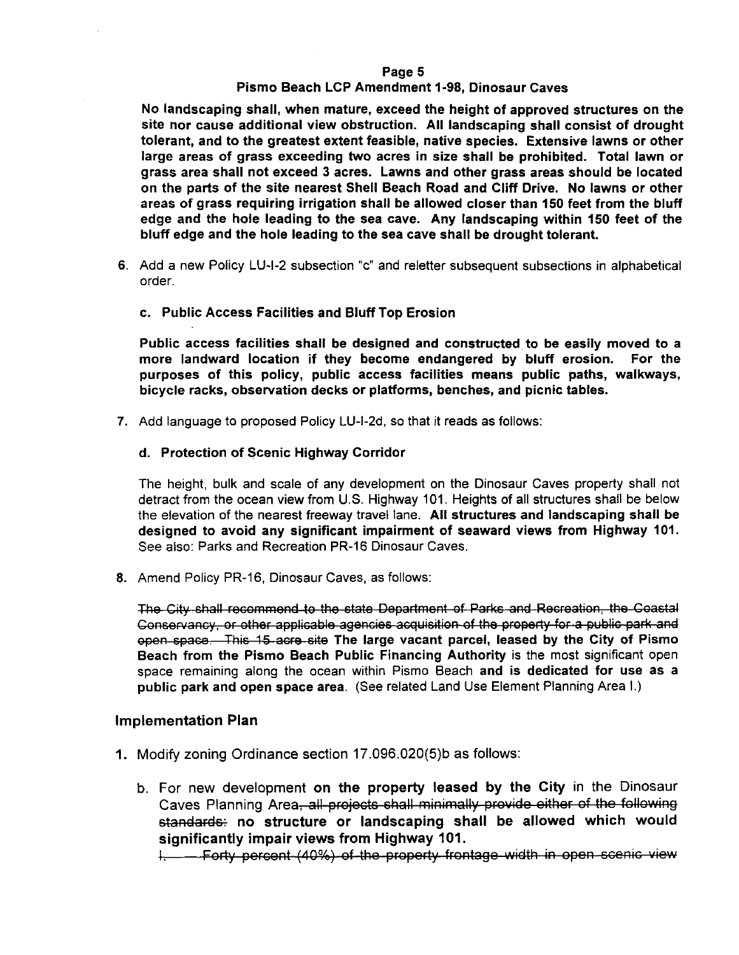#### Page 5

#### Pismo Beach LCP Amendment 1-98, Dinosaur Caves

No landscaping shall, when mature, exceed the height of approved structures on the site nor cause additional view obstruction All landscaping shall consist of drought tolerant, and to the greatest extent feasible, native species. Extensive lawns or other large areas of grass exceeding two acres in size shall be prohibited. Total lawn or grass area shall not exceed 3 acres. Lawns and other grass areas should be located<br>on the parts of the site nearest Shell Beach Road and Cliff Drive. No lawns or other<br>areas of grass requiring irrigation shall be allowed on the parts of the site nearest Shell Beach Road and Cliff Drive. No lawns or other areas of grass requiring irrigation shall be allowed closer than <sup>150</sup> feet from the bluff edge and the hole leading to the sea cave. Any landscaping within 150 feet of the bluff edge and the hole leading to the sea cave shall be drought tolerant

- order
	- c. Public Access Facilities and Bluff Top Erosion

Public access facilities shall be designed and constructed to be easily moved to a more landward location if they become endangered by bluff erosion. For the more landward location if they become endangered by bluff erosion. purposes of this policy, public access facilities means public paths, walkways, bicycle racks, observation decks or platforms, benches, and picnic tables. order.<br>
c. Public Access Facilities and Bluff Top Erosion<br>
Public access facilities shall be designed and constructed to<br>
more landward location if they become endangered by blu<br>
purposes of this policy, public access faci

## d. Protection of Scenic Highway Corridor

The height, bulk and scale of any development on the Dinosaur Caves property shall not detract from the ocean view from U.S. Highway 101. Heights of all structures shall be below the elevation of the nearest freeway travel lane. All structures and landscaping shall be designed to avoid any significant impairment of seaward views from Highway 101.<br>See also: Parks and Recreation PR-16 Dinosaur Caves.

8. Amend Policy PR-16, Dinosaur Caves, as follows:

The City shall recommend to the state Department of Parks and Recreation the Coastal Conservancy or other applicable agencies acquisition of the property for <sup>a</sup> public park and open space. This 15 acre site The large vacant parcel, leased by the City of Pismo Beach from the Pismo Beach Public Financing Authority is the most significant open space remaining along the ocean within Pismo Beach and is dedicated for use as a public park and open space area. (See related Land Use Element Planning Area I.) Conservancy, or other applicable agencies acquisition of the pro-<br>
open space. This 15 acre site The large vacant parcel, leas<br>
Beach from the Pismo Beach Public Financing Authority is<br>
space remaining along the ocean with

### Implementation Plan

- - b. For new development on the property leased by the City in the Dinosaur Caves Planning Area, all projects shall minimally provide either of the following standards: no structure or landscaping shall be allowed which would significantly impair views from Highway 101

I Forty percent (40%) of the property frontage width in open scenic view